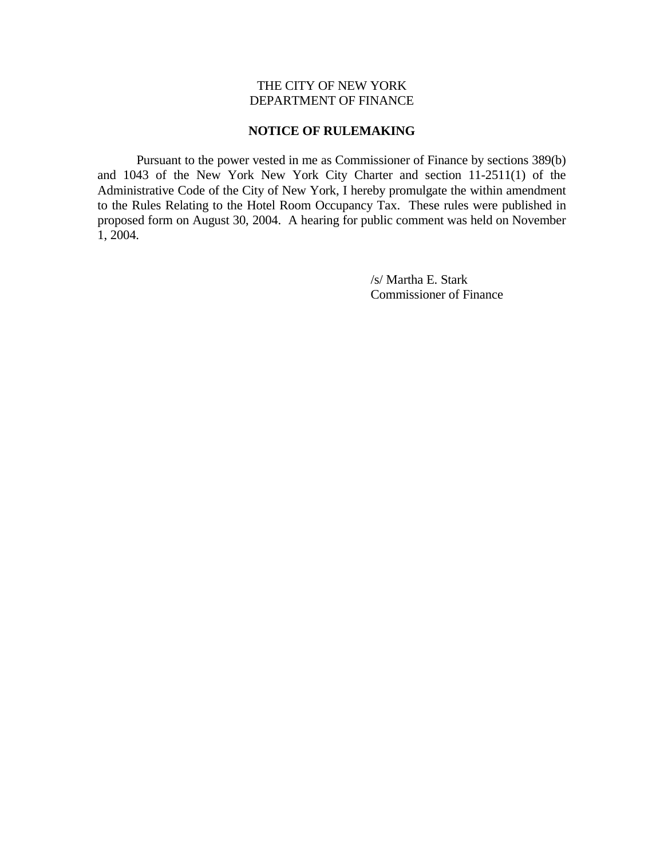## THE CITY OF NEW YORK DEPARTMENT OF FINANCE

## **NOTICE OF RULEMAKING**

 Pursuant to the power vested in me as Commissioner of Finance by sections 389(b) and 1043 of the New York New York City Charter and section 11-2511(1) of the Administrative Code of the City of New York, I hereby promulgate the within amendment to the Rules Relating to the Hotel Room Occupancy Tax. These rules were published in proposed form on August 30, 2004. A hearing for public comment was held on November 1, 2004.

> /s/ Martha E. Stark Commissioner of Finance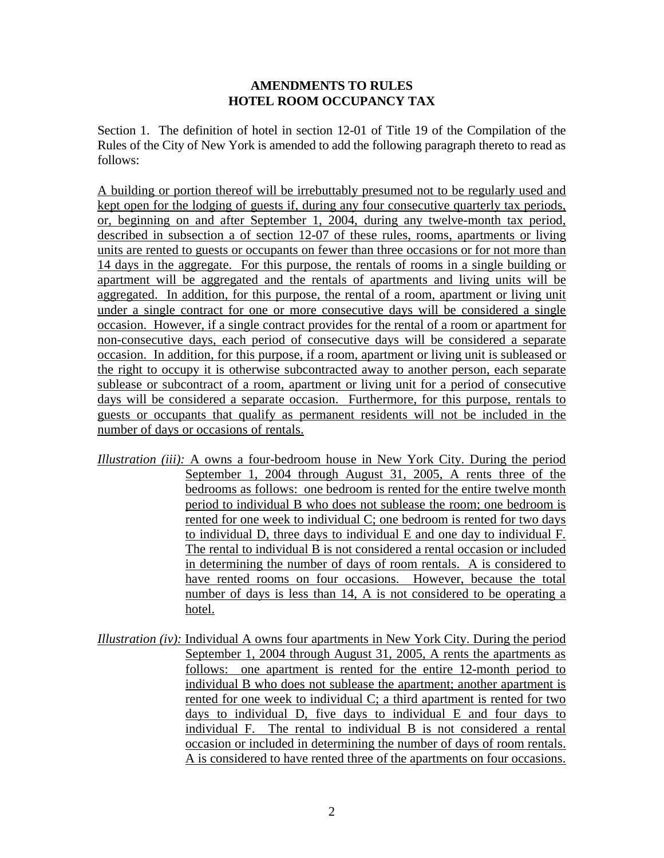## **AMENDMENTS TO RULES HOTEL ROOM OCCUPANCY TAX**

Section 1. The definition of hotel in section 12-01 of Title 19 of the Compilation of the Rules of the City of New York is amended to add the following paragraph thereto to read as follows:

A building or portion thereof will be irrebuttably presumed not to be regularly used and kept open for the lodging of guests if, during any four consecutive quarterly tax periods, or, beginning on and after September 1, 2004, during any twelve-month tax period, described in subsection a of section 12-07 of these rules, rooms, apartments or living units are rented to guests or occupants on fewer than three occasions or for not more than 14 days in the aggregate. For this purpose, the rentals of rooms in a single building or apartment will be aggregated and the rentals of apartments and living units will be aggregated. In addition, for this purpose, the rental of a room, apartment or living unit under a single contract for one or more consecutive days will be considered a single occasion. However, if a single contract provides for the rental of a room or apartment for non-consecutive days, each period of consecutive days will be considered a separate occasion. In addition, for this purpose, if a room, apartment or living unit is subleased or the right to occupy it is otherwise subcontracted away to another person, each separate sublease or subcontract of a room, apartment or living unit for a period of consecutive days will be considered a separate occasion. Furthermore, for this purpose, rentals to guests or occupants that qualify as permanent residents will not be included in the number of days or occasions of rentals.

- *Illustration (iii):* A owns a four-bedroom house in New York City. During the period September 1, 2004 through August 31, 2005, A rents three of the bedrooms as follows: one bedroom is rented for the entire twelve month period to individual B who does not sublease the room; one bedroom is rented for one week to individual C; one bedroom is rented for two days to individual D, three days to individual E and one day to individual F. The rental to individual B is not considered a rental occasion or included in determining the number of days of room rentals. A is considered to have rented rooms on four occasions. However, because the total number of days is less than 14, A is not considered to be operating a hotel.
- *Illustration (iv):* Individual A owns four apartments in New York City. During the period September 1, 2004 through August 31, 2005, A rents the apartments as follows: one apartment is rented for the entire 12-month period to individual B who does not sublease the apartment; another apartment is rented for one week to individual C; a third apartment is rented for two days to individual D, five days to individual E and four days to individual F. The rental to individual B is not considered a rental occasion or included in determining the number of days of room rentals. A is considered to have rented three of the apartments on four occasions.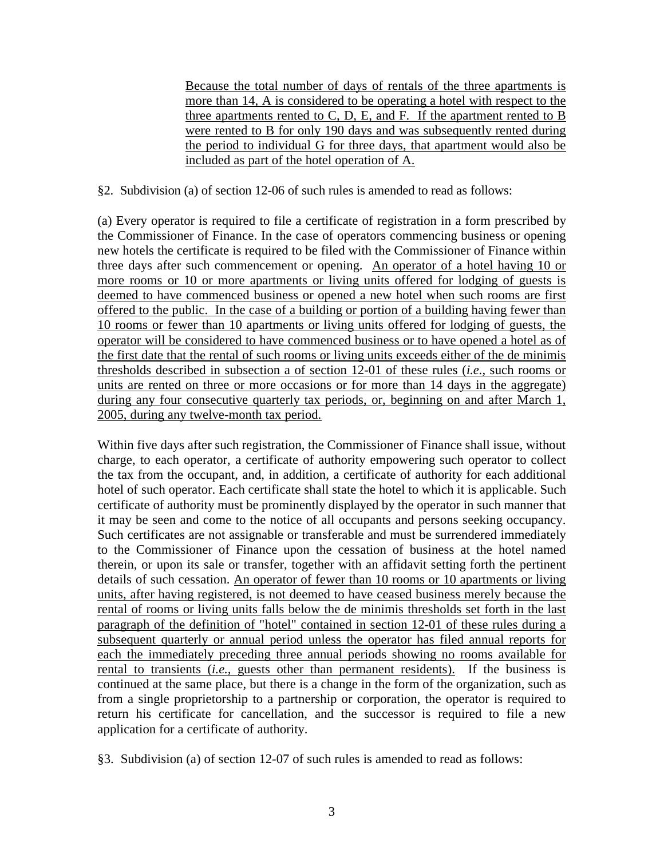Because the total number of days of rentals of the three apartments is more than 14, A is considered to be operating a hotel with respect to the three apartments rented to C, D, E, and F. If the apartment rented to B were rented to B for only 190 days and was subsequently rented during the period to individual G for three days, that apartment would also be included as part of the hotel operation of A.

§2. Subdivision (a) of section 12-06 of such rules is amended to read as follows:

(a) Every operator is required to file a certificate of registration in a form prescribed by the Commissioner of Finance. In the case of operators commencing business or opening new hotels the certificate is required to be filed with the Commissioner of Finance within three days after such commencement or opening. An operator of a hotel having 10 or more rooms or 10 or more apartments or living units offered for lodging of guests is deemed to have commenced business or opened a new hotel when such rooms are first offered to the public. In the case of a building or portion of a building having fewer than 10 rooms or fewer than 10 apartments or living units offered for lodging of guests, the operator will be considered to have commenced business or to have opened a hotel as of the first date that the rental of such rooms or living units exceeds either of the de minimis thresholds described in subsection a of section 12-01 of these rules (*i.e.,* such rooms or units are rented on three or more occasions or for more than 14 days in the aggregate) during any four consecutive quarterly tax periods, or, beginning on and after March 1, 2005, during any twelve-month tax period.

Within five days after such registration, the Commissioner of Finance shall issue, without charge, to each operator, a certificate of authority empowering such operator to collect the tax from the occupant, and, in addition, a certificate of authority for each additional hotel of such operator. Each certificate shall state the hotel to which it is applicable. Such certificate of authority must be prominently displayed by the operator in such manner that it may be seen and come to the notice of all occupants and persons seeking occupancy. Such certificates are not assignable or transferable and must be surrendered immediately to the Commissioner of Finance upon the cessation of business at the hotel named therein, or upon its sale or transfer, together with an affidavit setting forth the pertinent details of such cessation. An operator of fewer than 10 rooms or 10 apartments or living units, after having registered, is not deemed to have ceased business merely because the rental of rooms or living units falls below the de minimis thresholds set forth in the last paragraph of the definition of "hotel" contained in section 12-01 of these rules during a subsequent quarterly or annual period unless the operator has filed annual reports for each the immediately preceding three annual periods showing no rooms available for rental to transients (*i.e.,* guests other than permanent residents). If the business is continued at the same place, but there is a change in the form of the organization, such as from a single proprietorship to a partnership or corporation, the operator is required to return his certificate for cancellation, and the successor is required to file a new application for a certificate of authority.

§3. Subdivision (a) of section 12-07 of such rules is amended to read as follows: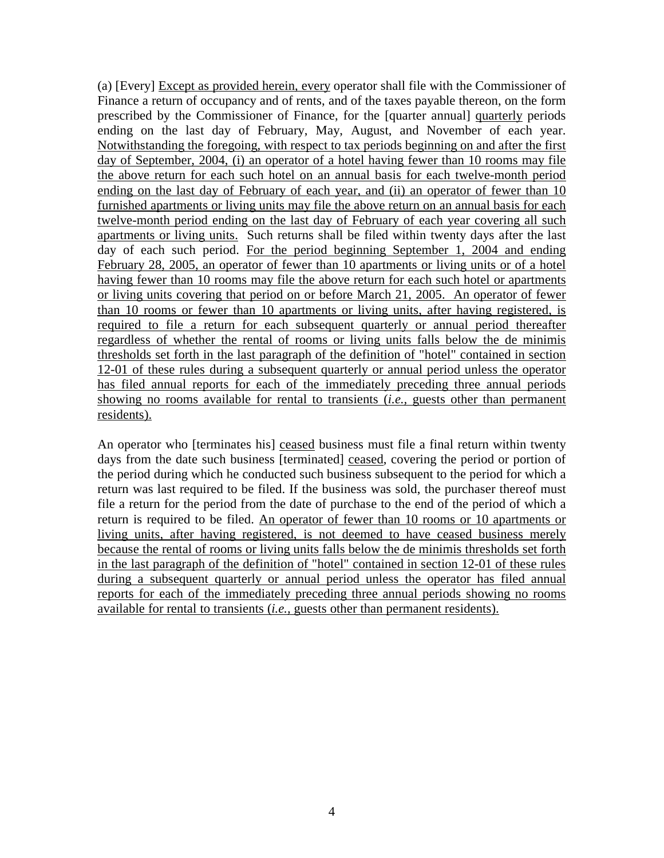(a) [Every] Except as provided herein, every operator shall file with the Commissioner of Finance a return of occupancy and of rents, and of the taxes payable thereon, on the form prescribed by the Commissioner of Finance, for the [quarter annual] quarterly periods ending on the last day of February, May, August, and November of each year. Notwithstanding the foregoing, with respect to tax periods beginning on and after the first day of September, 2004, (i) an operator of a hotel having fewer than 10 rooms may file the above return for each such hotel on an annual basis for each twelve-month period ending on the last day of February of each year, and (ii) an operator of fewer than 10 furnished apartments or living units may file the above return on an annual basis for each twelve-month period ending on the last day of February of each year covering all such apartments or living units. Such returns shall be filed within twenty days after the last day of each such period. For the period beginning September 1, 2004 and ending February 28, 2005, an operator of fewer than 10 apartments or living units or of a hotel having fewer than 10 rooms may file the above return for each such hotel or apartments or living units covering that period on or before March 21, 2005. An operator of fewer than 10 rooms or fewer than 10 apartments or living units, after having registered, is required to file a return for each subsequent quarterly or annual period thereafter regardless of whether the rental of rooms or living units falls below the de minimis thresholds set forth in the last paragraph of the definition of "hotel" contained in section 12-01 of these rules during a subsequent quarterly or annual period unless the operator has filed annual reports for each of the immediately preceding three annual periods showing no rooms available for rental to transients (*i.e.,* guests other than permanent residents).

An operator who [terminates his] ceased business must file a final return within twenty days from the date such business [terminated] ceased, covering the period or portion of the period during which he conducted such business subsequent to the period for which a return was last required to be filed. If the business was sold, the purchaser thereof must file a return for the period from the date of purchase to the end of the period of which a return is required to be filed. An operator of fewer than 10 rooms or 10 apartments or living units, after having registered, is not deemed to have ceased business merely because the rental of rooms or living units falls below the de minimis thresholds set forth in the last paragraph of the definition of "hotel" contained in section 12-01 of these rules during a subsequent quarterly or annual period unless the operator has filed annual reports for each of the immediately preceding three annual periods showing no rooms available for rental to transients (*i.e.,* guests other than permanent residents).